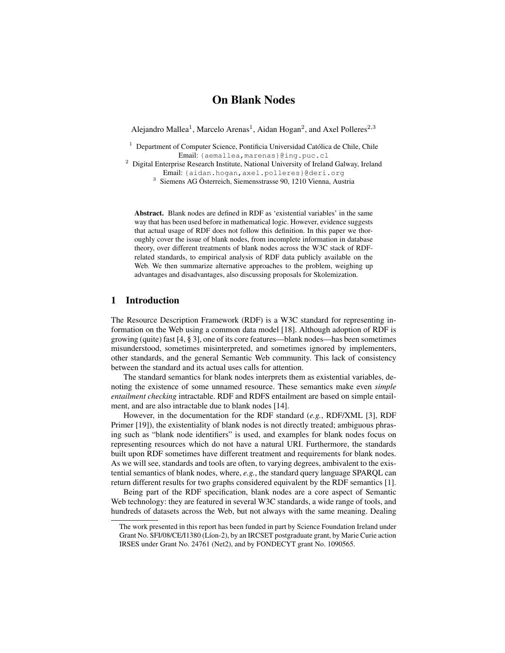# On Blank Nodes

Alejandro Mallea<sup>1</sup>, Marcelo Arenas<sup>1</sup>, Aidan Hogan<sup>2</sup>, and Axel Polleres<sup>2,3</sup>

<sup>1</sup> Department of Computer Science, Pontificia Universidad Católica de Chile, Chile Email: {aemallea,marenas}@ing.puc.cl

 $2$  Digital Enterprise Research Institute, National University of Ireland Galway, Ireland Email: {aidan.hogan,axel.polleres}@deri.org

3 Siemens AG Österreich, Siemensstrasse 90, 1210 Vienna, Austria

Abstract. Blank nodes are defined in RDF as 'existential variables' in the same way that has been used before in mathematical logic. However, evidence suggests that actual usage of RDF does not follow this definition. In this paper we thoroughly cover the issue of blank nodes, from incomplete information in database theory, over different treatments of blank nodes across the W3C stack of RDFrelated standards, to empirical analysis of RDF data publicly available on the Web. We then summarize alternative approaches to the problem, weighing up advantages and disadvantages, also discussing proposals for Skolemization.

# 1 Introduction

The Resource Description Framework (RDF) is a W3C standard for representing information on the Web using a common data model [18]. Although adoption of RDF is growing (quite) fast [4, § 3], one of its core features—blank nodes—has been sometimes misunderstood, sometimes misinterpreted, and sometimes ignored by implementers, other standards, and the general Semantic Web community. This lack of consistency between the standard and its actual uses calls for attention.

The standard semantics for blank nodes interprets them as existential variables, denoting the existence of some unnamed resource. These semantics make even *simple entailment checking* intractable. RDF and RDFS entailment are based on simple entailment, and are also intractable due to blank nodes [14].

However, in the documentation for the RDF standard (*e.g.*, RDF/XML [3], RDF Primer [19]), the existentiality of blank nodes is not directly treated; ambiguous phrasing such as "blank node identifiers" is used, and examples for blank nodes focus on representing resources which do not have a natural URI. Furthermore, the standards built upon RDF sometimes have different treatment and requirements for blank nodes. As we will see, standards and tools are often, to varying degrees, ambivalent to the existential semantics of blank nodes, where, *e.g.*, the standard query language SPARQL can return different results for two graphs considered equivalent by the RDF semantics [1].

Being part of the RDF specification, blank nodes are a core aspect of Semantic Web technology: they are featured in several W3C standards, a wide range of tools, and hundreds of datasets across the Web, but not always with the same meaning. Dealing

The work presented in this report has been funded in part by Science Foundation Ireland under Grant No. SFI/08/CE/I1380 (Líon-2), by an IRCSET postgraduate grant, by Marie Curie action IRSES under Grant No. 24761 (Net2), and by FONDECYT grant No. 1090565.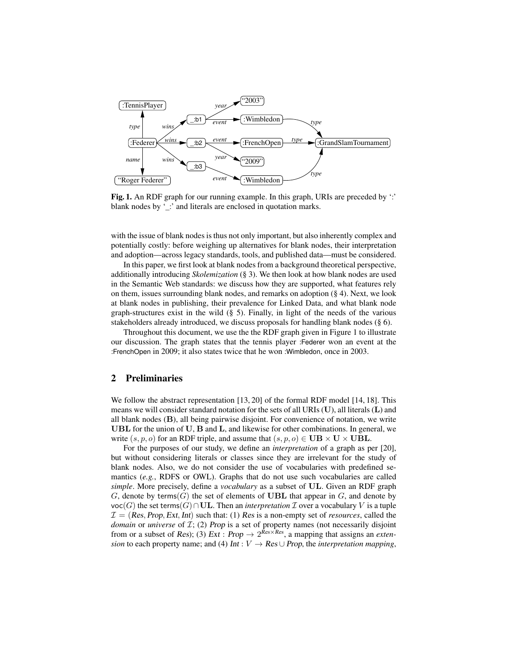

Fig. 1. An RDF graph for our running example. In this graph, URIs are preceded by ':' blank nodes by '\_:' and literals are enclosed in quotation marks.

with the issue of blank nodes is thus not only important, but also inherently complex and potentially costly: before weighing up alternatives for blank nodes, their interpretation and adoption—across legacy standards, tools, and published data—must be considered.

In this paper, we first look at blank nodes from a background theoretical perspective, additionally introducing *Skolemization* (§ 3). We then look at how blank nodes are used in the Semantic Web standards: we discuss how they are supported, what features rely on them, issues surrounding blank nodes, and remarks on adoption (§ 4). Next, we look at blank nodes in publishing, their prevalence for Linked Data, and what blank node graph-structures exist in the wild (§ 5). Finally, in light of the needs of the various stakeholders already introduced, we discuss proposals for handling blank nodes (§ 6).

Throughout this document, we use the the RDF graph given in Figure 1 to illustrate our discussion. The graph states that the tennis player :Federer won an event at the :FrenchOpen in 2009; it also states twice that he won :Wimbledon, once in 2003.

# 2 Preliminaries

We follow the abstract representation [13, 20] of the formal RDF model [14, 18]. This means we will consider standard notation for the sets of all URIs  $(U)$ , all literals  $(L)$  and all blank nodes (B), all being pairwise disjoint. For convenience of notation, we write UBL for the union of U, B and L, and likewise for other combinations. In general, we write  $(s, p, o)$  for an RDF triple, and assume that  $(s, p, o) \in \mathbf{UB} \times \mathbf{U} \times \mathbf{UBL}$ .

For the purposes of our study, we define an *interpretation* of a graph as per [20], but without considering literals or classes since they are irrelevant for the study of blank nodes. Also, we do not consider the use of vocabularies with predefined semantics (*e.g.*, RDFS or OWL). Graphs that do not use such vocabularies are called *simple*. More precisely, define a *vocabulary* as a subset of UL. Given an RDF graph G, denote by terms(G) the set of elements of UBL that appear in G, and denote by voc(G) the set terms(G)∩UL. Then an *interpretation*  $\mathcal I$  over a vocabulary V is a tuple  $\mathcal{I} = (Res, Prop, Ext, Int)$  such that: (1) Res is a non-empty set of *resources*, called the *domain* or *universe* of *I*; (2) Prop is a set of property names (not necessarily disjoint from or a subset of *Res*); (3) *Ext* : *Prop*  $\rightarrow$  2<sup>*Res*×*Res*</sup>, a mapping that assigns an *extension* to each property name; and (4) Int :  $V \rightarrow Res \cup Prop$ , the *interpretation mapping*,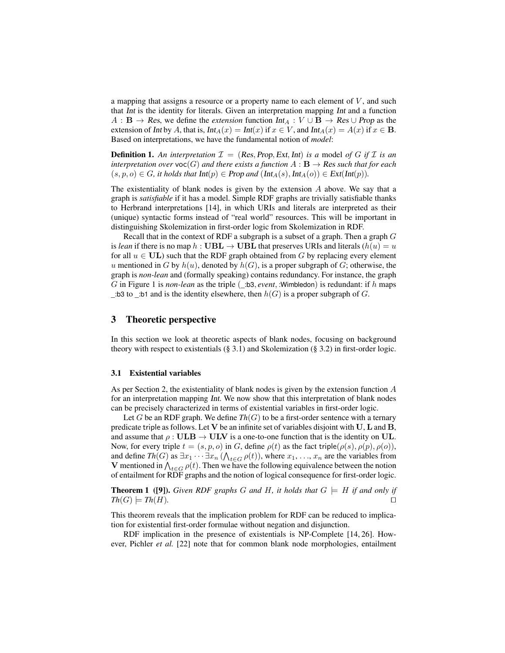a mapping that assigns a resource or a property name to each element of  $V$ , and such that Int is the identity for literals. Given an interpretation mapping Int and a function  $A : \mathbf{B} \to \mathbf{Res}$ , we define the *extension* function  $\text{Int}_A : V \cup \mathbf{B} \to \mathbf{Res} \cup \text{Prop}$  as the extension of Int by A, that is,  $Int_A(x) = Int(x)$  if  $x \in V$ , and  $Int_A(x) = A(x)$  if  $x \in B$ . Based on interpretations, we have the fundamental notion of *model*:

**Definition 1.** An interpretation  $\mathcal{I} = (Res, Prop, Ext, Int)$  *is a* model of G if  $\mathcal{I}$  *is an interpretation over*  $\text{voc}(G)$  *and there exists a function*  $A : \mathbf{B} \to \mathbf{Res}$  *such that for each*  $(s, p, o) \in G$ , it holds that  $Int(p) \in Prop$  and  $(int_A(s), Int_A(o)) \in Ext(int(p))$ .

The existentiality of blank nodes is given by the extension  $A$  above. We say that a graph is *satisfiable* if it has a model. Simple RDF graphs are trivially satisfiable thanks to Herbrand interpretations [14], in which URIs and literals are interpreted as their (unique) syntactic forms instead of "real world" resources. This will be important in distinguishing Skolemization in first-order logic from Skolemization in RDF.

Recall that in the context of RDF a subgraph is a subset of a graph. Then a graph G is *lean* if there is no map h : UBL  $\rightarrow$  UBL that preserves URIs and literals ( $h(u) = u$ ) for all  $u \in UL$ ) such that the RDF graph obtained from G by replacing every element u mentioned in G by  $h(u)$ , denoted by  $h(G)$ , is a proper subgraph of G; otherwise, the graph is *non-lean* and (formally speaking) contains redundancy. For instance, the graph G in Figure 1 is *non-lean* as the triple  $(\_$ :b3, *event*, :Wimbledon) is redundant: if h maps  $\_$ :b3 to  $\_$ :b1 and is the identity elsewhere, then  $h(G)$  is a proper subgraph of  $G$ .

# 3 Theoretic perspective

In this section we look at theoretic aspects of blank nodes, focusing on background theory with respect to existentials  $(\S 3.1)$  and Skolemization  $(\S 3.2)$  in first-order logic.

#### 3.1 Existential variables

As per Section 2, the existentiality of blank nodes is given by the extension function A for an interpretation mapping Int. We now show that this interpretation of blank nodes can be precisely characterized in terms of existential variables in first-order logic.

Let G be an RDF graph. We define  $Th(G)$  to be a first-order sentence with a ternary predicate triple as follows. Let V be an infinite set of variables disjoint with U, L and B, and assume that  $\rho : \mathbf{ULB} \to \mathbf{ULV}$  is a one-to-one function that is the identity on UL. Now, for every triple  $t = (s, p, o)$  in G, define  $\rho(t)$  as the fact triple( $\rho(s), \rho(p), \rho(o)$ ), and define  $Th(G)$  as  $\exists x_1 \cdots \exists x_n \left(\bigwedge_{t \in G} \rho(t)\right)$ , where  $x_1, \ldots, x_n$  are the variables from V mentioned in  $\bigwedge_{t\in G}\rho(t)$ . Then we have the following equivalence between the notion of entailment for RDF graphs and the notion of logical consequence for first-order logic.

**Theorem 1** ([9]). *Given RDF graphs G and H, it holds that*  $G \models H$  *if and only if*  $Th(G) \models Th(H).$ 

This theorem reveals that the implication problem for RDF can be reduced to implication for existential first-order formulae without negation and disjunction.

RDF implication in the presence of existentials is NP-Complete [14, 26]. However, Pichler *et al.* [22] note that for common blank node morphologies, entailment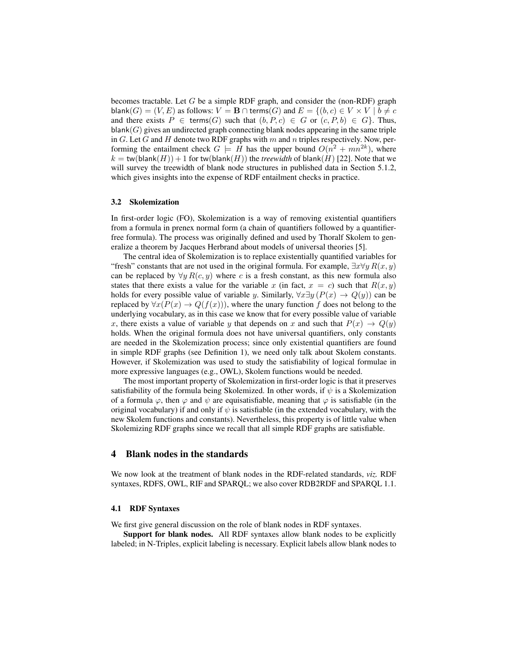becomes tractable. Let  $G$  be a simple RDF graph, and consider the (non-RDF) graph  $\textsf{blank}(G) = (V, E)$  as follows:  $V = \mathbf{B} \cap \textsf{terms}(G)$  and  $E = \{(b, c) \in V \times V \mid b \neq c\}$ and there exists  $P \in \text{terms}(G)$  such that  $(b, P, c) \in G$  or  $(c, P, b) \in G$ . Thus,  $\textsf{blank}(G)$  gives an undirected graph connecting blank nodes appearing in the same triple in G. Let G and H denote two RDF graphs with  $m$  and  $n$  triples respectively. Now, performing the entailment check  $G \models H$  has the upper bound  $O(n^2 + mn^{2k})$ , where  $k = \text{tw}(\text{blank}(H)) + 1$  for  $\text{tw}(\text{blank}(H))$  the *treewidth* of blank $(H)$  [22]. Note that we will survey the treewidth of blank node structures in published data in Section 5.1.2, which gives insights into the expense of RDF entailment checks in practice.

#### 3.2 Skolemization

In first-order logic (FO), Skolemization is a way of removing existential quantifiers from a formula in prenex normal form (a chain of quantifiers followed by a quantifierfree formula). The process was originally defined and used by Thoralf Skolem to generalize a theorem by Jacques Herbrand about models of universal theories [5].

The central idea of Skolemization is to replace existentially quantified variables for "fresh" constants that are not used in the original formula. For example,  $\exists x \forall y R(x, y)$ can be replaced by  $\forall y R(c, y)$  where c is a fresh constant, as this new formula also states that there exists a value for the variable x (in fact,  $x = c$ ) such that  $R(x, y)$ holds for every possible value of variable y. Similarly,  $\forall x \exists y (P(x) \rightarrow Q(y))$  can be replaced by  $\forall x(P(x) \rightarrow Q(f(x)))$ , where the unary function f does not belong to the underlying vocabulary, as in this case we know that for every possible value of variable x, there exists a value of variable y that depends on x and such that  $P(x) \rightarrow Q(y)$ holds. When the original formula does not have universal quantifiers, only constants are needed in the Skolemization process; since only existential quantifiers are found in simple RDF graphs (see Definition 1), we need only talk about Skolem constants. However, if Skolemization was used to study the satisfiability of logical formulae in more expressive languages (e.g., OWL), Skolem functions would be needed.

The most important property of Skolemization in first-order logic is that it preserves satisfiability of the formula being Skolemized. In other words, if  $\psi$  is a Skolemization of a formula  $\varphi$ , then  $\varphi$  and  $\psi$  are equisatisfiable, meaning that  $\varphi$  is satisfiable (in the original vocabulary) if and only if  $\psi$  is satisfiable (in the extended vocabulary, with the new Skolem functions and constants). Nevertheless, this property is of little value when Skolemizing RDF graphs since we recall that all simple RDF graphs are satisfiable.

### 4 Blank nodes in the standards

We now look at the treatment of blank nodes in the RDF-related standards, *viz.* RDF syntaxes, RDFS, OWL, RIF and SPARQL; we also cover RDB2RDF and SPARQL 1.1.

#### 4.1 RDF Syntaxes

We first give general discussion on the role of blank nodes in RDF syntaxes.

Support for blank nodes. All RDF syntaxes allow blank nodes to be explicitly labeled; in N-Triples, explicit labeling is necessary. Explicit labels allow blank nodes to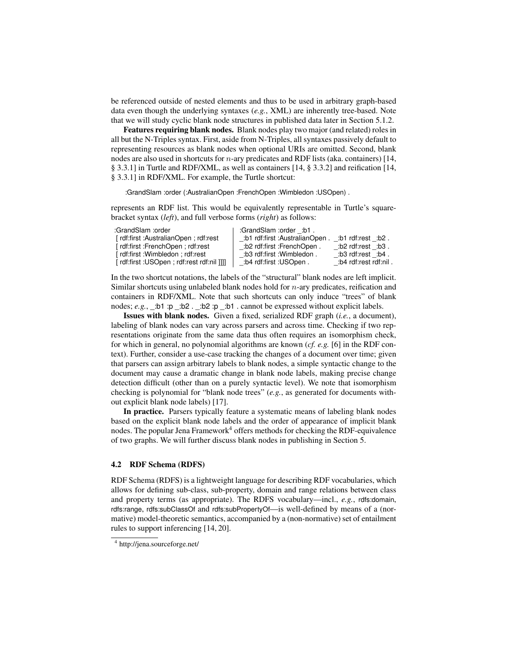be referenced outside of nested elements and thus to be used in arbitrary graph-based data even though the underlying syntaxes (*e.g.*, XML) are inherently tree-based. Note that we will study cyclic blank node structures in published data later in Section 5.1.2.

Features requiring blank nodes. Blank nodes play two major (and related) roles in all but the N-Triples syntax. First, aside from N-Triples, all syntaxes passively default to representing resources as blank nodes when optional URIs are omitted. Second, blank nodes are also used in shortcuts for  $n$ -ary predicates and RDF lists (aka. containers) [14, § 3.3.1] in Turtle and RDF/XML, as well as containers [14, § 3.3.2] and reification [14, § 3.3.1] in RDF/XML. For example, the Turtle shortcut:

:GrandSlam :order (:AustralianOpen :FrenchOpen :Wimbledon :USOpen) .

represents an RDF list. This would be equivalently representable in Turtle's squarebracket syntax (*left*), and full verbose forms (*right*) as follows:

| :GrandSlam :order                           | :GrandSlam :order :b1.         |                       |
|---------------------------------------------|--------------------------------|-----------------------|
| [rdf:first : AustralianOpen; rdf:rest       | .b1 rdf:first :AustralianOpen. | .b1 rdf:rest :b2 .    |
| [rdf:first :FrenchOpen ; rdf:rest           | .b2 rdf:first :FrenchOpen:     | .b2 rdf:rest :b3 .    |
| [rdf:first : Wimbledon ; rdf:rest           | :b3 rdf:first :Wimbledon .     | .b3 rdf:rest :b4.     |
| [  rdf:first :USOpen ; rdf:rest rdf:nil ]]] | :b4 rdf:first :USOpen .        | :b4 rdf:rest rdf:nil. |

In the two shortcut notations, the labels of the "structural" blank nodes are left implicit. Similar shortcuts using unlabeled blank nodes hold for  $n$ -ary predicates, reification and containers in RDF/XML. Note that such shortcuts can only induce "trees" of blank nodes; *e.g.*,  $\therefore$  b1 :p  $\therefore$  b2  $\therefore$  b2 :p  $\therefore$  b1  $\therefore$  cannot be expressed without explicit labels.

Issues with blank nodes. Given a fixed, serialized RDF graph (*i.e.*, a document), labeling of blank nodes can vary across parsers and across time. Checking if two representations originate from the same data thus often requires an isomorphism check, for which in general, no polynomial algorithms are known (*cf. e.g.* [6] in the RDF context). Further, consider a use-case tracking the changes of a document over time; given that parsers can assign arbitrary labels to blank nodes, a simple syntactic change to the document may cause a dramatic change in blank node labels, making precise change detection difficult (other than on a purely syntactic level). We note that isomorphism checking is polynomial for "blank node trees" (*e.g.*, as generated for documents without explicit blank node labels) [17].

In practice. Parsers typically feature a systematic means of labeling blank nodes based on the explicit blank node labels and the order of appearance of implicit blank nodes. The popular Jena Framework<sup>4</sup> offers methods for checking the RDF-equivalence of two graphs. We will further discuss blank nodes in publishing in Section 5.

#### 4.2 RDF Schema (RDFS)

RDF Schema (RDFS) is a lightweight language for describing RDF vocabularies, which allows for defining sub-class, sub-property, domain and range relations between class and property terms (as appropriate). The RDFS vocabulary—incl., *e.g.*, rdfs:domain, rdfs:range, rdfs:subClassOf and rdfs:subPropertyOf—is well-defined by means of a (normative) model-theoretic semantics, accompanied by a (non-normative) set of entailment rules to support inferencing [14, 20].

<sup>4</sup> http://jena.sourceforge.net/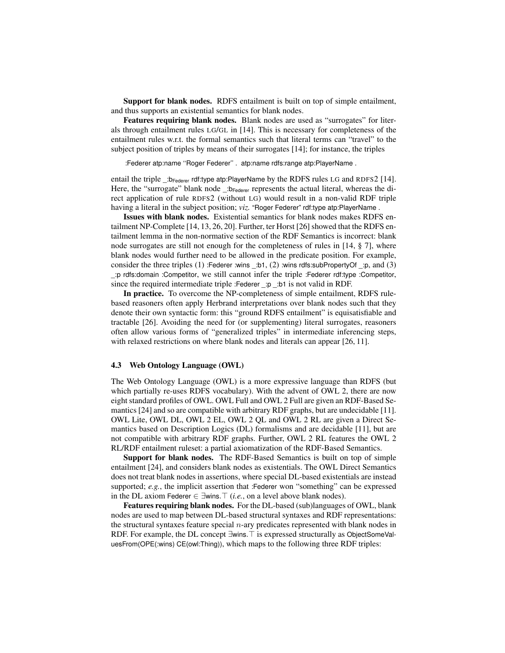Support for blank nodes. RDFS entailment is built on top of simple entailment, and thus supports an existential semantics for blank nodes.

Features requiring blank nodes. Blank nodes are used as "surrogates" for literals through entailment rules LG/GL in [14]. This is necessary for completeness of the entailment rules w.r.t. the formal semantics such that literal terms can "travel" to the subject position of triples by means of their surrogates [14]; for instance, the triples

:Federer atp:name ''Roger Federer'' . atp:name rdfs:range atp:PlayerName .

entail the triple  $\Delta E_{\text{Federer}}$  rdf:type atp:PlayerName by the RDFS rules LG and RDFS2 [14]. Here, the "surrogate" blank node  $\Delta E_{\text{Federer}}$  represents the actual literal, whereas the direct application of rule RDFS2 (without LG) would result in a non-valid RDF triple having a literal in the subject position; *viz.* "Roger Federer" rdf:type atp:PlayerName .

Issues with blank nodes. Existential semantics for blank nodes makes RDFS entailment NP-Complete [14, 13, 26, 20]. Further, ter Horst [26] showed that the RDFS entailment lemma in the non-normative section of the RDF Semantics is incorrect: blank node surrogates are still not enough for the completeness of rules in [14, § 7], where blank nodes would further need to be allowed in the predicate position. For example, consider the three triples  $(1)$ : Federer :wins :b1,  $(2)$ :wins rdfs:subPropertyOf :p, and  $(3)$ \_:p rdfs:domain :Competitor, we still cannot infer the triple :Federer rdf:type :Competitor, since the required intermediate triple :Federer \_:p \_:b1 is not valid in RDF.

In practice. To overcome the NP-completeness of simple entailment, RDFS rulebased reasoners often apply Herbrand interpretations over blank nodes such that they denote their own syntactic form: this "ground RDFS entailment" is equisatisfiable and tractable [26]. Avoiding the need for (or supplementing) literal surrogates, reasoners often allow various forms of "generalized triples" in intermediate inferencing steps, with relaxed restrictions on where blank nodes and literals can appear [26, 11].

### 4.3 Web Ontology Language (OWL)

The Web Ontology Language (OWL) is a more expressive language than RDFS (but which partially re-uses RDFS vocabulary). With the advent of OWL 2, there are now eight standard profiles of OWL. OWL Full and OWL 2 Full are given an RDF-Based Semantics [24] and so are compatible with arbitrary RDF graphs, but are undecidable [11]. OWL Lite, OWL DL, OWL 2 EL, OWL 2 QL and OWL 2 RL are given a Direct Semantics based on Description Logics (DL) formalisms and are decidable [11], but are not compatible with arbitrary RDF graphs. Further, OWL 2 RL features the OWL 2 RL/RDF entailment ruleset: a partial axiomatization of the RDF-Based Semantics.

Support for blank nodes. The RDF-Based Semantics is built on top of simple entailment [24], and considers blank nodes as existentials. The OWL Direct Semantics does not treat blank nodes in assertions, where special DL-based existentials are instead supported; *e.g.*, the implicit assertion that :Federer won "something" can be expressed in the DL axiom Federer  $\in \exists$ wins. $\top$  (*i.e.*, on a level above blank nodes).

Features requiring blank nodes. For the DL-based (sub)languages of OWL, blank nodes are used to map between DL-based structural syntaxes and RDF representations: the structural syntaxes feature special  $n$ -ary predicates represented with blank nodes in RDF. For example, the DL concept ∃wins. T is expressed structurally as ObjectSomeValuesFrom(OPE(:wins) CE(owl:Thing)), which maps to the following three RDF triples: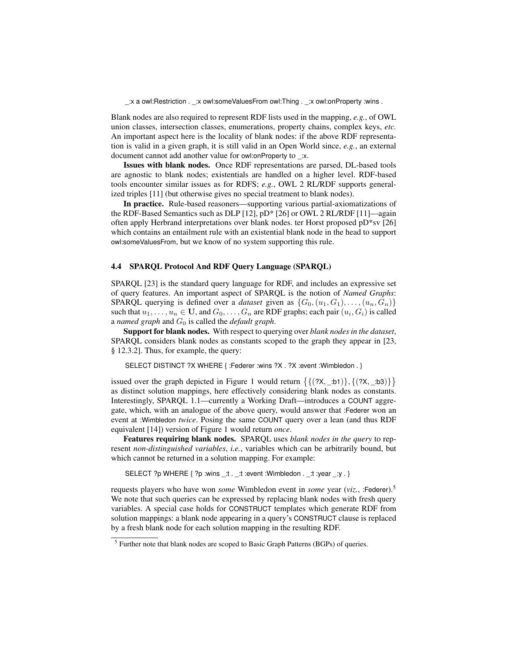\_:x a owl:Restriction . \_:x owl:someValuesFrom owl:Thing . \_:x owl:onProperty :wins .

Blank nodes are also required to represent RDF lists used in the mapping, *e.g.*, of OWL union classes, intersection classes, enumerations, property chains, complex keys, *etc.* An important aspect here is the locality of blank nodes: if the above RDF representation is valid in a given graph, it is still valid in an Open World since, *e.g.*, an external document cannot add another value for owl:onProperty to \_:x.

Issues with blank nodes. Once RDF representations are parsed, DL-based tools are agnostic to blank nodes; existentials are handled on a higher level. RDF-based tools encounter similar issues as for RDFS; *e.g.*, OWL 2 RL/RDF supports generalized triples [11] (but otherwise gives no special treatment to blank nodes).

In practice. Rule-based reasoners—supporting various partial-axiomatizations of the RDF-Based Semantics such as DLP [12], pD\* [26] or OWL 2 RL/RDF [11]—again often apply Herbrand interpretations over blank nodes. ter Horst proposed pD\*sv [26] which contains an entailment rule with an existential blank node in the head to support owl:someValuesFrom, but we know of no system supporting this rule.

### 4.4 SPARQL Protocol And RDF Query Language (SPARQL)

SPARQL [23] is the standard query language for RDF, and includes an expressive set of query features. An important aspect of SPARQL is the notion of *Named Graphs*: SPARQL querying is defined over a *dataset* given as  $\{G_0,(u_1, G_1), \ldots, (u_n, G_n)\}$ such that  $u_1, \ldots, u_n \in \mathbf{U}$ , and  $G_0, \ldots, G_n$  are RDF graphs; each pair  $(u_i, G_i)$  is called a *named graph* and  $G_0$  is called the *default graph*.

Support for blank nodes. With respect to querying over *blank nodes in the dataset*, SPARQL considers blank nodes as constants scoped to the graph they appear in [23, § 12.3.2]. Thus, for example, the query:

SELECT DISTINCT ?X WHERE { :Federer :wins ?X . ?X :event :Wimbledon . }

issued over the graph depicted in Figure 1 would return  $\{\{(?X, \_:b1)\}, \{(?X, \_:b3)\}\}\$ as distinct solution mappings, here effectively considering blank nodes as constants. Interestingly, SPARQL 1.1—currently a Working Draft—introduces a COUNT aggregate, which, with an analogue of the above query, would answer that :Federer won an event at :Wimbledon *twice*. Posing the same COUNT query over a lean (and thus RDF equivalent [14]) version of Figure 1 would return *once*.

Features requiring blank nodes. SPARQL uses *blank nodes in the query* to represent *non-distinguished variables*, *i.e.*, variables which can be arbitrarily bound, but which cannot be returned in a solution mapping. For example:

SELECT ?p WHERE { ?p :wins \_:t . \_:t :event :Wimbledon . \_:t :year \_:y . }

requests players who have won *some* Wimbledon event in *some* year (*viz.*, :Federer).<sup>5</sup> We note that such queries can be expressed by replacing blank nodes with fresh query variables. A special case holds for CONSTRUCT templates which generate RDF from solution mappings: a blank node appearing in a query's CONSTRUCT clause is replaced by a fresh blank node for each solution mapping in the resulting RDF.

<sup>&</sup>lt;sup>5</sup> Further note that blank nodes are scoped to Basic Graph Patterns (BGPs) of queries.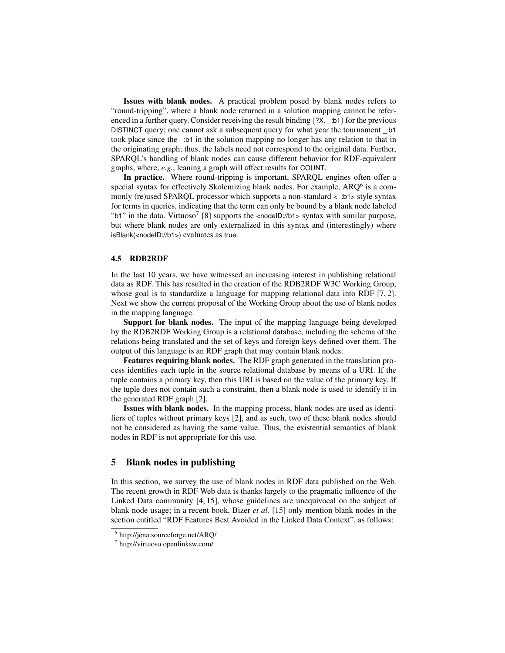Issues with blank nodes. A practical problem posed by blank nodes refers to "round-tripping", where a blank node returned in a solution mapping cannot be referenced in a further query. Consider receiving the result binding  $(2x, \pm b1)$  for the previous DISTINCT query; one cannot ask a subsequent query for what year the tournament \_:b1 took place since the \_:b1 in the solution mapping no longer has any relation to that in the originating graph; thus, the labels need not correspond to the original data. Further, SPARQL's handling of blank nodes can cause different behavior for RDF-equivalent graphs, where, *e.g.*, leaning a graph will affect results for COUNT.

In practice. Where round-tripping is important, SPARQL engines often offer a special syntax for effectively Skolemizing blank nodes. For example,  $ARQ^6$  is a commonly (re)used SPARQL processor which supports a non-standard <\_:b1> style syntax for terms in queries, indicating that the term can only be bound by a blank node labeled "b1" in the data. Virtuoso<sup>7</sup> [8] supports the <nodeID://b1> syntax with similar purpose, but where blank nodes are only externalized in this syntax and (interestingly) where isBlank(<nodeID://b1>) evaluates as true.

# 4.5 RDB2RDF

In the last 10 years, we have witnessed an increasing interest in publishing relational data as RDF. This has resulted in the creation of the RDB2RDF W3C Working Group, whose goal is to standardize a language for mapping relational data into RDF [7, 2]. Next we show the current proposal of the Working Group about the use of blank nodes in the mapping language.

Support for blank nodes. The input of the mapping language being developed by the RDB2RDF Working Group is a relational database, including the schema of the relations being translated and the set of keys and foreign keys defined over them. The output of this language is an RDF graph that may contain blank nodes.

Features requiring blank nodes. The RDF graph generated in the translation process identifies each tuple in the source relational database by means of a URI. If the tuple contains a primary key, then this URI is based on the value of the primary key. If the tuple does not contain such a constraint, then a blank node is used to identify it in the generated RDF graph [2].

Issues with blank nodes. In the mapping process, blank nodes are used as identifiers of tuples without primary keys [2], and as such, two of these blank nodes should not be considered as having the same value. Thus, the existential semantics of blank nodes in RDF is not appropriate for this use.

# 5 Blank nodes in publishing

In this section, we survey the use of blank nodes in RDF data published on the Web. The recent growth in RDF Web data is thanks largely to the pragmatic influence of the Linked Data community [4, 15], whose guidelines are unequivocal on the subject of blank node usage; in a recent book, Bizer *et al.* [15] only mention blank nodes in the section entitled "RDF Features Best Avoided in the Linked Data Context", as follows:

<sup>6</sup> http://jena.sourceforge.net/ARQ/

<sup>7</sup> http://virtuoso.openlinksw.com/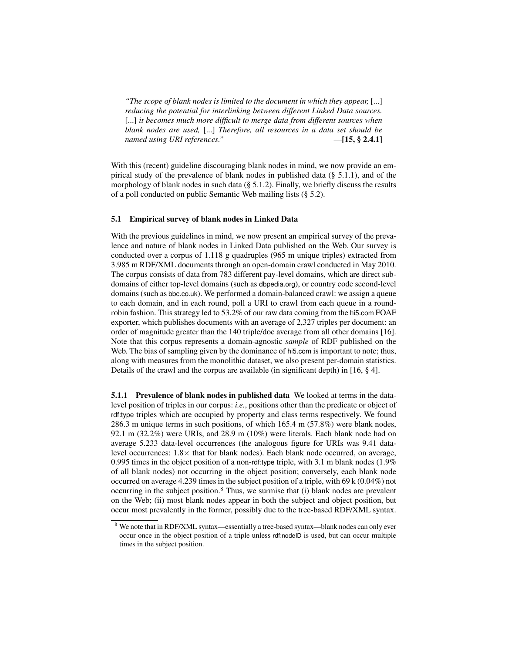*"The scope of blank nodes is limited to the document in which they appear,* [...] *reducing the potential for interlinking between different Linked Data sources.* [...] *it becomes much more difficult to merge data from different sources when blank nodes are used,* [...] *Therefore, all resources in a data set should be named using URI references."* —[15, § 2.4.1]

With this (recent) guideline discouraging blank nodes in mind, we now provide an empirical study of the prevalence of blank nodes in published data (§ 5.1.1), and of the morphology of blank nodes in such data  $(\S 5.1.2)$ . Finally, we briefly discuss the results of a poll conducted on public Semantic Web mailing lists (§ 5.2).

### 5.1 Empirical survey of blank nodes in Linked Data

With the previous guidelines in mind, we now present an empirical survey of the prevalence and nature of blank nodes in Linked Data published on the Web. Our survey is conducted over a corpus of 1.118 g quadruples (965 m unique triples) extracted from 3.985 m RDF/XML documents through an open-domain crawl conducted in May 2010. The corpus consists of data from 783 different pay-level domains, which are direct subdomains of either top-level domains (such as dbpedia.org), or country code second-level domains (such as bbc.co.uk). We performed a domain-balanced crawl: we assign a queue to each domain, and in each round, poll a URI to crawl from each queue in a roundrobin fashion. This strategy led to 53.2% of our raw data coming from the hi5.com FOAF exporter, which publishes documents with an average of 2,327 triples per document: an order of magnitude greater than the 140 triple/doc average from all other domains [16]. Note that this corpus represents a domain-agnostic *sample* of RDF published on the Web. The bias of sampling given by the dominance of hi5.com is important to note; thus, along with measures from the monolithic dataset, we also present per-domain statistics. Details of the crawl and the corpus are available (in significant depth) in [16, § 4].

5.1.1 Prevalence of blank nodes in published data We looked at terms in the datalevel position of triples in our corpus: *i.e.*, positions other than the predicate or object of rdf:type triples which are occupied by property and class terms respectively. We found 286.3 m unique terms in such positions, of which 165.4 m (57.8%) were blank nodes, 92.1 m (32.2%) were URIs, and 28.9 m (10%) were literals. Each blank node had on average 5.233 data-level occurrences (the analogous figure for URIs was 9.41 datalevel occurrences:  $1.8 \times$  that for blank nodes). Each blank node occurred, on average, 0.995 times in the object position of a non-rdf:type triple, with 3.1 m blank nodes (1.9% of all blank nodes) not occurring in the object position; conversely, each blank node occurred on average 4.239 times in the subject position of a triple, with 69 k (0.04%) not occurring in the subject position.<sup>8</sup> Thus, we surmise that (i) blank nodes are prevalent on the Web; (ii) most blank nodes appear in both the subject and object position, but occur most prevalently in the former, possibly due to the tree-based RDF/XML syntax.

<sup>8</sup> We note that in RDF/XML syntax—essentially a tree-based syntax—blank nodes can only ever occur once in the object position of a triple unless rdf:nodeID is used, but can occur multiple times in the subject position.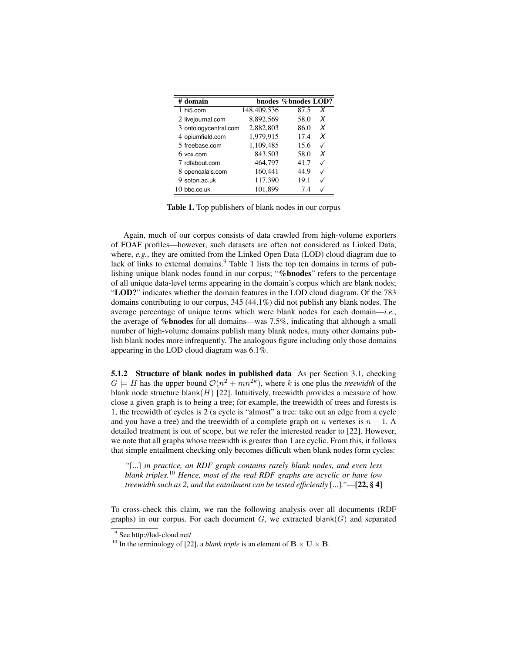| # domain                 |             | bnodes % bnodes LOD? |   |
|--------------------------|-------------|----------------------|---|
| $1$ hi <sub>5</sub> .com | 148,409,536 | 87.5                 | X |
| 2 livejournal.com        | 8,892,569   | 58.0                 | X |
| 3 ontologycentral.com    | 2,882,803   | 86.0                 | X |
| 4 opiumfield.com         | 1,979,915   | 17.4                 | X |
| 5 freebase.com           | 1,109,485   | 15.6                 |   |
| $6$ vox.com              | 843,503     | 58.0                 | X |
| 7 rdfabout.com           | 464,797     | 41.7                 |   |
| 8 opencalais.com         | 160.441     | 44.9                 |   |
| 9 soton.ac.uk            | 117,390     | 19.1                 |   |
| $10$ bbc.co.uk           | 101.899     | 7.4                  |   |

Table 1. Top publishers of blank nodes in our corpus

Again, much of our corpus consists of data crawled from high-volume exporters of FOAF profiles—however, such datasets are often not considered as Linked Data, where, *e.g.*, they are omitted from the Linked Open Data (LOD) cloud diagram due to lack of links to external domains.<sup>9</sup> Table 1 lists the top ten domains in terms of publishing unique blank nodes found in our corpus; "%bnodes" refers to the percentage of all unique data-level terms appearing in the domain's corpus which are blank nodes; "LOD?" indicates whether the domain features in the LOD cloud diagram. Of the 783 domains contributing to our corpus, 345 (44.1%) did not publish any blank nodes. The average percentage of unique terms which were blank nodes for each domain—*i.e.*, the average of %bnodes for all domains—was 7.5%, indicating that although a small number of high-volume domains publish many blank nodes, many other domains publish blank nodes more infrequently. The analogous figure including only those domains appearing in the LOD cloud diagram was 6.1%.

5.1.2 Structure of blank nodes in published data As per Section 3.1, checking  $G \models H$  has the upper bound  $\mathcal{O}(n^2 + mn^{2k})$ , where k is one plus the *treewidth* of the blank node structure blank $(H)$  [22]. Intuitively, treewidth provides a measure of how close a given graph is to being a tree; for example, the treewidth of trees and forests is 1, the treewidth of cycles is 2 (a cycle is "almost" a tree: take out an edge from a cycle and you have a tree) and the treewidth of a complete graph on n vertexes is  $n - 1$ . A detailed treatment is out of scope, but we refer the interested reader to [22]. However, we note that all graphs whose treewidth is greater than 1 are cyclic. From this, it follows that simple entailment checking only becomes difficult when blank nodes form cycles:

*"*[...] *in practice, an RDF graph contains rarely blank nodes, and even less blank triples.*<sup>10</sup> *Hence, most of the real RDF graphs are acyclic or have low treewidth such as 2, and the entailment can be tested efficiently* [...]*."*—[22, § 4]

To cross-check this claim, we ran the following analysis over all documents (RDF graphs) in our corpus. For each document  $G$ , we extracted blank $(G)$  and separated

<sup>&</sup>lt;sup>9</sup> See http://lod-cloud.net/

<sup>&</sup>lt;sup>10</sup> In the terminology of [22], a *blank triple* is an element of  $\mathbf{B} \times \mathbf{U} \times \mathbf{B}$ .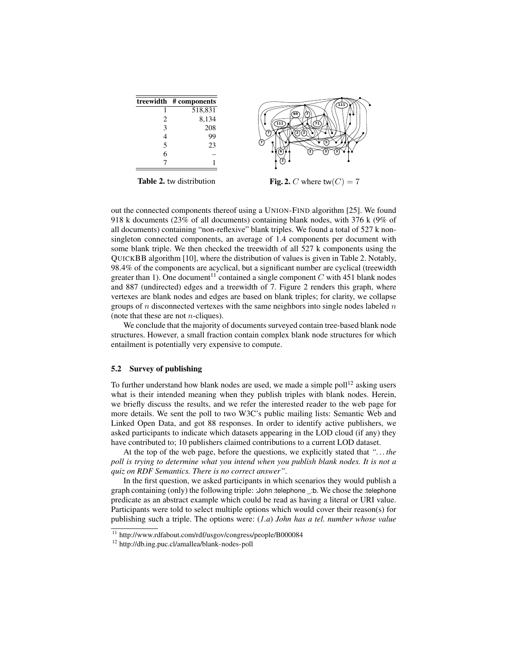|   | treewidth # components |
|---|------------------------|
|   | 518,831                |
| 2 | 8,134                  |
| 3 | 208                    |
| 4 | 99                     |
| 5 | 23                     |
| 6 |                        |
|   |                        |



Table 2. tw distribution

Fig. 2. C where tw $(C) = 7$ 

out the connected components thereof using a UNION-FIND algorithm [25]. We found 918 k documents (23% of all documents) containing blank nodes, with 376 k (9% of all documents) containing "non-reflexive" blank triples. We found a total of 527 k nonsingleton connected components, an average of 1.4 components per document with some blank triple. We then checked the treewidth of all 527 k components using the QUICKBB algorithm [10], where the distribution of values is given in Table 2. Notably, 98.4% of the components are acyclical, but a significant number are cyclical (treewidth greater than 1). One document<sup>11</sup> contained a single component C with 451 blank nodes and 887 (undirected) edges and a treewidth of 7. Figure 2 renders this graph, where vertexes are blank nodes and edges are based on blank triples; for clarity, we collapse groups of n disconnected vertexes with the same neighbors into single nodes labeled  $n$ (note that these are not  $n$ -cliques).

We conclude that the majority of documents surveyed contain tree-based blank node structures. However, a small fraction contain complex blank node structures for which entailment is potentially very expensive to compute.

#### 5.2 Survey of publishing

To further understand how blank nodes are used, we made a simple poll<sup>12</sup> asking users what is their intended meaning when they publish triples with blank nodes. Herein, we briefly discuss the results, and we refer the interested reader to the web page for more details. We sent the poll to two W3C's public mailing lists: Semantic Web and Linked Open Data, and got 88 responses. In order to identify active publishers, we asked participants to indicate which datasets appearing in the LOD cloud (if any) they have contributed to; 10 publishers claimed contributions to a current LOD dataset.

At the top of the web page, before the questions, we explicitly stated that *". . . the poll is trying to determine what you intend when you publish blank nodes. It is not a quiz on RDF Semantics. There is no correct answer"*.

In the first question, we asked participants in which scenarios they would publish a graph containing (only) the following triple: :John :telephone \_:b. We chose the :telephone predicate as an abstract example which could be read as having a literal or URI value. Participants were told to select multiple options which would cover their reason(s) for publishing such a triple. The options were: (*1.a*) *John has a tel. number whose value*

<sup>11</sup> http://www.rdfabout.com/rdf/usgov/congress/people/B000084

<sup>12</sup> http://db.ing.puc.cl/amallea/blank-nodes-poll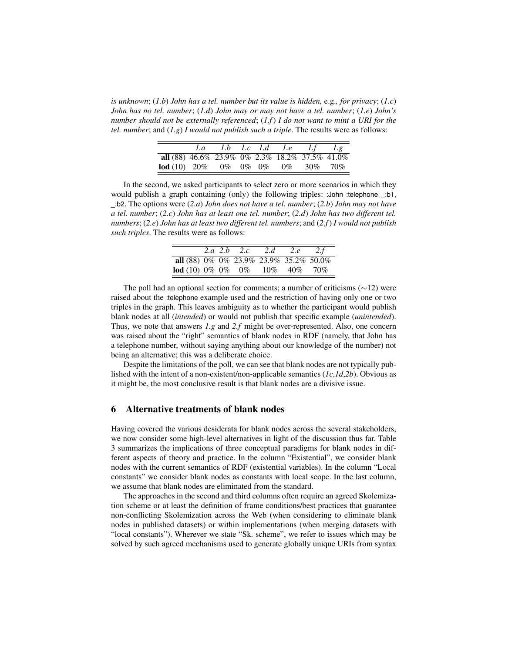*is unknown*; (*1.b*) *John has a tel. number but its value is hidden,* e.g.*, for privacy*; (*1.c*) *John has no tel. number*; (*1.d*) *John may or may not have a tel. number*; (*1.e*) *John's number should not be externally referenced*; (*1.f*) *I do not want to mint a URI for the tel. number*; and (*1.g*) *I would not publish such a triple*. The results were as follows:

|                                                  |  |  | 1.a 1.b 1.c 1.d 1.e 1.f $1.g$ |  |
|--------------------------------------------------|--|--|-------------------------------|--|
| all (88) 46.6% 23.9% 0% 2.3% 18.2% 37.5% 41.0%   |  |  |                               |  |
| <b>lod</b> (10) $20\%$ 0\% 0\% 0\% 0\% 30\% 70\% |  |  |                               |  |

In the second, we asked participants to select zero or more scenarios in which they would publish a graph containing (only) the following triples: :John :telephone \_:b1, \_:b2. The options were (*2.a*) *John does not have a tel. number*; (*2.b*) *John may not have a tel. number*; (*2.c*) *John has at least one tel. number*; (*2.d*) *John has two different tel. numbers*; (*2.e*) *John has at least two different tel. numbers*; and (*2.f*) *I would not publish such triples*. The results were as follows:

|                                        |  | 2.a 2.b 2.c | 2.d | 2.e | 2.f |
|----------------------------------------|--|-------------|-----|-----|-----|
| all (88) 0% 0% 23.9% 23.9% 35.2% 50.0% |  |             |     |     |     |
| <b>lod</b> (10) 0% 0% 0% 10% 40% 70%   |  |             |     |     |     |

The poll had an optional section for comments; a number of criticisms ( $\sim$ 12) were raised about the :telephone example used and the restriction of having only one or two triples in the graph. This leaves ambiguity as to whether the participant would publish blank nodes at all (*intended*) or would not publish that specific example (*unintended*). Thus, we note that answers *1.g* and *2.f* might be over-represented. Also, one concern was raised about the "right" semantics of blank nodes in RDF (namely, that John has a telephone number, without saying anything about our knowledge of the number) not being an alternative; this was a deliberate choice.

Despite the limitations of the poll, we can see that blank nodes are not typically published with the intent of a non-existent/non-applicable semantics (*1c*,*1d*,*2b*). Obvious as it might be, the most conclusive result is that blank nodes are a divisive issue.

# 6 Alternative treatments of blank nodes

Having covered the various desiderata for blank nodes across the several stakeholders, we now consider some high-level alternatives in light of the discussion thus far. Table 3 summarizes the implications of three conceptual paradigms for blank nodes in different aspects of theory and practice. In the column "Existential", we consider blank nodes with the current semantics of RDF (existential variables). In the column "Local constants" we consider blank nodes as constants with local scope. In the last column, we assume that blank nodes are eliminated from the standard.

The approaches in the second and third columns often require an agreed Skolemization scheme or at least the definition of frame conditions/best practices that guarantee non-conflicting Skolemization across the Web (when considering to eliminate blank nodes in published datasets) or within implementations (when merging datasets with "local constants"). Wherever we state "Sk. scheme", we refer to issues which may be solved by such agreed mechanisms used to generate globally unique URIs from syntax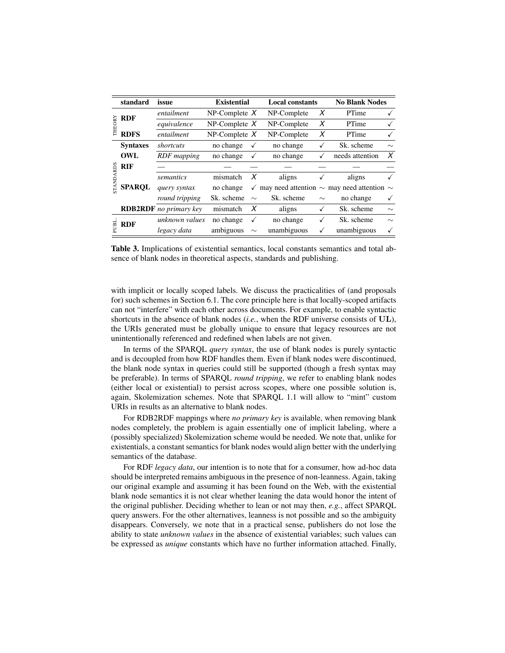|            | standard        | issue                         | <b>Existential</b> |        |             | <b>Local constants</b> |                                                     | <b>No Blank Nodes</b> |
|------------|-----------------|-------------------------------|--------------------|--------|-------------|------------------------|-----------------------------------------------------|-----------------------|
| Ñ<br>THEO) | <b>RDF</b>      | entailment                    | $NP$ -Complete $X$ |        | NP-Complete | X                      | PTime                                               | √                     |
|            |                 | equivalence                   | $NP$ -Complete $X$ |        | NP-Complete | X                      | PTime                                               |                       |
|            | <b>RDFS</b>     | entailment                    | $NP$ -Complete $X$ |        | NP-Complete | X                      | PTime                                               | ✓                     |
|            | <b>Syntaxes</b> | shortcuts                     | no change          |        | no change   | ✓                      | Sk. scheme                                          | $\sim$                |
|            | OWL             | RDF mapping                   | no change          |        | no change   | $\checkmark$           | needs attention                                     | X                     |
| STANDARDS  | <b>RIF</b>      |                               |                    |        |             |                        |                                                     |                       |
|            | <b>SPAROL</b>   | semantics                     | mismatch           | X      | aligns      |                        | aligns                                              |                       |
|            |                 | query syntax                  | no change          | ✓      |             |                        | may need attention $\sim$ may need attention $\sim$ |                       |
|            |                 | round tripping                | Sk. scheme         | $\sim$ | Sk. scheme  | $\sim$                 | no change                                           | √                     |
|            |                 | <b>RDB2RDF</b> no primary key | mismatch           | X      | aligns      | √                      | Sk. scheme                                          | $\sim$                |
| PUBL       | <b>RDF</b>      | unknown values                | no change          | ✓      | no change   | ✓                      | Sk. scheme                                          | $\sim$                |
|            |                 | legacy data                   | ambiguous          | $\sim$ | unambiguous | ✓                      | unambiguous                                         | √                     |
|            |                 |                               |                    |        |             |                        |                                                     |                       |

Table 3. Implications of existential semantics, local constants semantics and total absence of blank nodes in theoretical aspects, standards and publishing.

with implicit or locally scoped labels. We discuss the practicalities of (and proposals for) such schemes in Section 6.1. The core principle here is that locally-scoped artifacts can not "interfere" with each other across documents. For example, to enable syntactic shortcuts in the absence of blank nodes (*i.e.*, when the RDF universe consists of UL), the URIs generated must be globally unique to ensure that legacy resources are not unintentionally referenced and redefined when labels are not given.

In terms of the SPARQL *query syntax*, the use of blank nodes is purely syntactic and is decoupled from how RDF handles them. Even if blank nodes were discontinued, the blank node syntax in queries could still be supported (though a fresh syntax may be preferable). In terms of SPARQL *round tripping*, we refer to enabling blank nodes (either local or existential) to persist across scopes, where one possible solution is, again, Skolemization schemes. Note that SPARQL 1.1 will allow to "mint" custom URIs in results as an alternative to blank nodes.

For RDB2RDF mappings where *no primary key* is available, when removing blank nodes completely, the problem is again essentially one of implicit labeling, where a (possibly specialized) Skolemization scheme would be needed. We note that, unlike for existentials, a constant semantics for blank nodes would align better with the underlying semantics of the database.

For RDF *legacy data*, our intention is to note that for a consumer, how ad-hoc data should be interpreted remains ambiguous in the presence of non-leanness. Again, taking our original example and assuming it has been found on the Web, with the existential blank node semantics it is not clear whether leaning the data would honor the intent of the original publisher. Deciding whether to lean or not may then, *e.g.*, affect SPARQL query answers. For the other alternatives, leanness is not possible and so the ambiguity disappears. Conversely, we note that in a practical sense, publishers do not lose the ability to state *unknown values* in the absence of existential variables; such values can be expressed as *unique* constants which have no further information attached. Finally,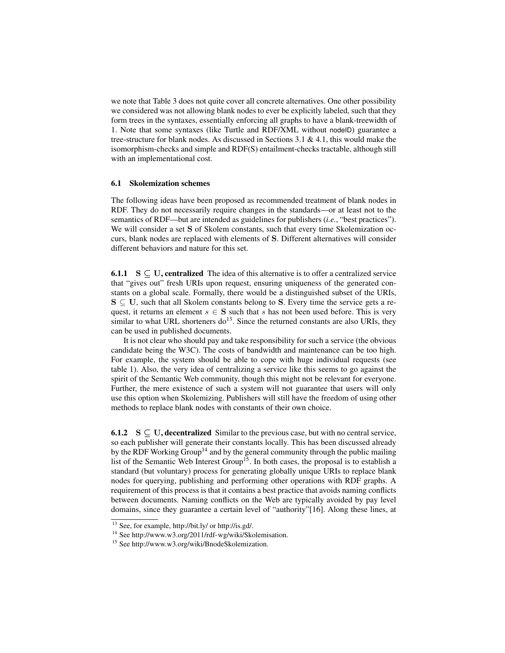we note that Table 3 does not quite cover all concrete alternatives. One other possibility we considered was not allowing blank nodes to ever be explicitly labeled, such that they form trees in the syntaxes, essentially enforcing all graphs to have a blank-treewidth of 1. Note that some syntaxes (like Turtle and RDF/XML without nodeID) guarantee a tree-structure for blank nodes. As discussed in Sections 3.1  $\&$  4.1, this would make the isomorphism-checks and simple and RDF(S) entailment-checks tractable, although still with an implementational cost.

### 6.1 Skolemization schemes

The following ideas have been proposed as recommended treatment of blank nodes in RDF. They do not necessarily require changes in the standards—or at least not to the semantics of RDF—but are intended as guidelines for publishers (*i.e.*, "best practices"). We will consider a set S of Skolem constants, such that every time Skolemization occurs, blank nodes are replaced with elements of S. Different alternatives will consider different behaviors and nature for this set.

**6.1.1** S  $\subset U$ , centralized The idea of this alternative is to offer a centralized service that "gives out" fresh URIs upon request, ensuring uniqueness of the generated constants on a global scale. Formally, there would be a distinguished subset of the URIs,  $S \subseteq U$ , such that all Skolem constants belong to S. Every time the service gets a request, it returns an element  $s \in S$  such that s has not been used before. This is very similar to what URL shorteners  $do<sup>13</sup>$ . Since the returned constants are also URIs, they can be used in published documents.

It is not clear who should pay and take responsibility for such a service (the obvious candidate being the W3C). The costs of bandwidth and maintenance can be too high. For example, the system should be able to cope with huge individual requests (see table 1). Also, the very idea of centralizing a service like this seems to go against the spirit of the Semantic Web community, though this might not be relevant for everyone. Further, the mere existence of such a system will not guarantee that users will only use this option when Skolemizing. Publishers will still have the freedom of using other methods to replace blank nodes with constants of their own choice.

**6.1.2**  $S \subset U$ , decentralized Similar to the previous case, but with no central service, so each publisher will generate their constants locally. This has been discussed already by the RDF Working Group<sup>14</sup> and by the general community through the public mailing list of the Semantic Web Interest Group<sup>15</sup>. In both cases, the proposal is to establish a standard (but voluntary) process for generating globally unique URIs to replace blank nodes for querying, publishing and performing other operations with RDF graphs. A requirement of this process is that it contains a best practice that avoids naming conflicts between documents. Naming conflicts on the Web are typically avoided by pay level domains, since they guarantee a certain level of "authority"[16]. Along these lines, at

 $\frac{13}{13}$  See, for example, http://bit.ly/ or http://is.gd/.

<sup>14</sup> See http://www.w3.org/2011/rdf-wg/wiki/Skolemisation.

<sup>15</sup> See http://www.w3.org/wiki/BnodeSkolemization.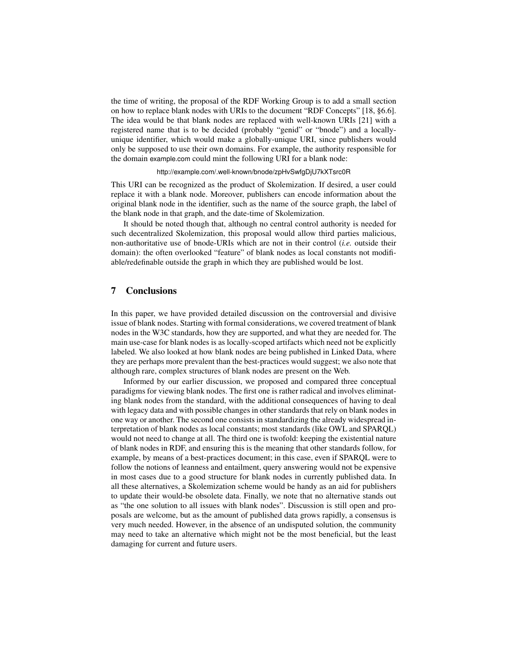the time of writing, the proposal of the RDF Working Group is to add a small section on how to replace blank nodes with URIs to the document "RDF Concepts" [18, §6.6]. The idea would be that blank nodes are replaced with well-known URIs [21] with a registered name that is to be decided (probably "genid" or "bnode") and a locallyunique identifier, which would make a globally-unique URI, since publishers would only be supposed to use their own domains. For example, the authority responsible for the domain example.com could mint the following URI for a blank node:

### http://example.com/.well-known/bnode/zpHvSwfgDjU7kXTsrc0R

This URI can be recognized as the product of Skolemization. If desired, a user could replace it with a blank node. Moreover, publishers can encode information about the original blank node in the identifier, such as the name of the source graph, the label of the blank node in that graph, and the date-time of Skolemization.

It should be noted though that, although no central control authority is needed for such decentralized Skolemization, this proposal would allow third parties malicious, non-authoritative use of bnode-URIs which are not in their control (*i.e.* outside their domain): the often overlooked "feature" of blank nodes as local constants not modifiable/redefinable outside the graph in which they are published would be lost.

# 7 Conclusions

In this paper, we have provided detailed discussion on the controversial and divisive issue of blank nodes. Starting with formal considerations, we covered treatment of blank nodes in the W3C standards, how they are supported, and what they are needed for. The main use-case for blank nodes is as locally-scoped artifacts which need not be explicitly labeled. We also looked at how blank nodes are being published in Linked Data, where they are perhaps more prevalent than the best-practices would suggest; we also note that although rare, complex structures of blank nodes are present on the Web.

Informed by our earlier discussion, we proposed and compared three conceptual paradigms for viewing blank nodes. The first one is rather radical and involves eliminating blank nodes from the standard, with the additional consequences of having to deal with legacy data and with possible changes in other standards that rely on blank nodes in one way or another. The second one consists in standardizing the already widespread interpretation of blank nodes as local constants; most standards (like OWL and SPARQL) would not need to change at all. The third one is twofold: keeping the existential nature of blank nodes in RDF, and ensuring this is the meaning that other standards follow, for example, by means of a best-practices document; in this case, even if SPARQL were to follow the notions of leanness and entailment, query answering would not be expensive in most cases due to a good structure for blank nodes in currently published data. In all these alternatives, a Skolemization scheme would be handy as an aid for publishers to update their would-be obsolete data. Finally, we note that no alternative stands out as "the one solution to all issues with blank nodes". Discussion is still open and proposals are welcome, but as the amount of published data grows rapidly, a consensus is very much needed. However, in the absence of an undisputed solution, the community may need to take an alternative which might not be the most beneficial, but the least damaging for current and future users.